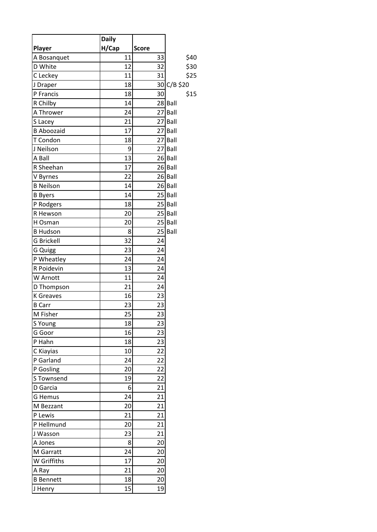|                   | <b>Daily</b> |              |             |
|-------------------|--------------|--------------|-------------|
| Player            | H/Cap        | <b>Score</b> |             |
| A Bosanquet       | 11           | 33           | \$40        |
| D White           | 12           | 32           | \$30        |
| C Leckey          | 11           | 31           | \$25        |
| J Draper          | 18           |              | 30 C/B \$20 |
| P Francis         | 18           | 30           | \$15        |
| R Chilby          | 14           |              | 28 Ball     |
| A Thrower         | 24           |              | 27 Ball     |
| S Lacey           | 21           |              | 27 Ball     |
| <b>B Aboozaid</b> | 17           |              | 27 Ball     |
| T Condon          | 18           |              | 27 Ball     |
| J Neilson         | 9            |              | 27 Ball     |
| A Ball            | 13           |              | 26 Ball     |
| R Sheehan         | 17           |              | 26 Ball     |
| V Byrnes          | 22           |              | 26 Ball     |
| <b>B</b> Neilson  | 14           |              | 26 Ball     |
| <b>B</b> Byers    | 14           |              | 25 Ball     |
| P Rodgers         | 18           |              | 25 Ball     |
| R Hewson          | 20           |              | 25 Ball     |
| H Osman           | 20           |              | 25 Ball     |
| <b>B Hudson</b>   | 8            |              | 25 Ball     |
| <b>G Brickell</b> | 32           | 24           |             |
| G Quigg           | 23           | 24           |             |
| P Wheatley        | 24           | 24           |             |
| R Poidevin        | 13           | 24           |             |
| W Arnott          | 11           | 24           |             |
| D Thompson        | 21           | 24           |             |
| <b>K</b> Greaves  | 16           | 23           |             |
| <b>B</b> Carr     | 23           | 23           |             |
| M Fisher          | 25           | 23           |             |
| S Young           | 18           | 23           |             |
| G Goor            | 16           | 23           |             |
| P Hahn            | 18           | 23           |             |
| C Kiayias         | 10           | 22           |             |
| P Garland         | 24           | 22           |             |
| P Gosling         | 20           | 22           |             |
| S Townsend        | 19           | 22           |             |
| D Garcia          | 6            | 21           |             |
| <b>G</b> Hemus    | 24           | 21           |             |
| M Bezzant         | 20           | 21           |             |
| P Lewis           | 21           | 21           |             |
| P Hellmund        | 20           | 21           |             |
| J Wasson          | 23           | 21           |             |
| A Jones           | 8            | 20           |             |
| M Garratt         | 24           | 20           |             |
| W Griffiths       | 17           | 20           |             |
| A Ray             | 21           | 20           |             |
| <b>B</b> Bennett  | 18           | 20           |             |
| J Henry           | 15           | 19           |             |
|                   |              |              |             |